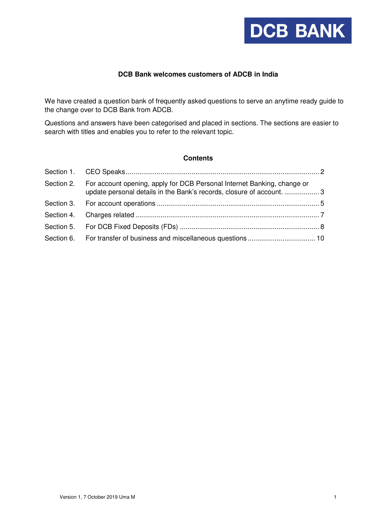

# **DCB Bank welcomes customers of ADCB in India**

We have created a question bank of frequently asked questions to serve an anytime ready guide to the change over to DCB Bank from ADCB.

Questions and answers have been categorised and placed in sections. The sections are easier to search with titles and enables you to refer to the relevant topic.

#### **Contents**

| Section 2. For account opening, apply for DCB Personal Internet Banking, change or<br>update personal details in the Bank's records, closure of account.  3 |  |
|-------------------------------------------------------------------------------------------------------------------------------------------------------------|--|
|                                                                                                                                                             |  |
|                                                                                                                                                             |  |
|                                                                                                                                                             |  |
|                                                                                                                                                             |  |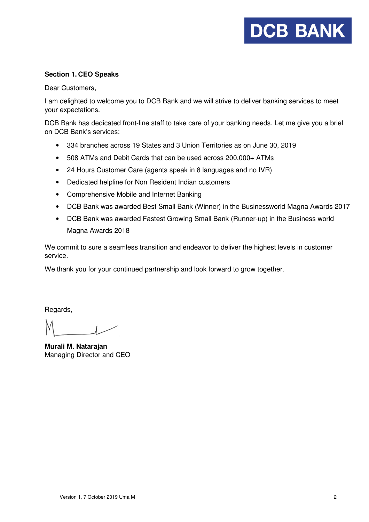# **DCB BANK**

## **Section 1. CEO Speaks**

Dear Customers,

I am delighted to welcome you to DCB Bank and we will strive to deliver banking services to meet your expectations.

DCB Bank has dedicated front-line staff to take care of your banking needs. Let me give you a brief on DCB Bank's services:

- 334 branches across 19 States and 3 Union Territories as on June 30, 2019
- 508 ATMs and Debit Cards that can be used across 200,000+ ATMs
- 24 Hours Customer Care (agents speak in 8 languages and no IVR)
- Dedicated helpline for Non Resident Indian customers
- Comprehensive Mobile and Internet Banking
- DCB Bank was awarded Best Small Bank (Winner) in the Businessworld Magna Awards 2017
- DCB Bank was awarded Fastest Growing Small Bank (Runner-up) in the Business world Magna Awards 2018

We commit to sure a seamless transition and endeavor to deliver the highest levels in customer service.

We thank you for your continued partnership and look forward to grow together.

Regards,

**Murali M. Natarajan**  Managing Director and CEO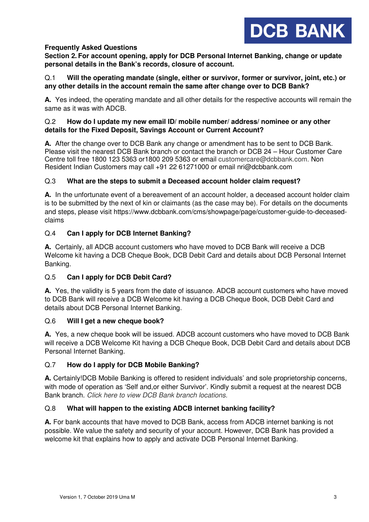

# **Frequently Asked Questions**

**Section 2. For account opening, apply for DCB Personal Internet Banking, change or update personal details in the Bank's records, closure of account.** 

## Q.1 **Will the operating mandate (single, either or survivor, former or survivor, joint, etc.) or any other details in the account remain the same after change over to DCB Bank?**

**A.** Yes indeed, the operating mandate and all other details for the respective accounts will remain the same as it was with ADCB.

# Q.2 **How do I update my new email ID/ mobile number/ address/ nominee or any other details for the Fixed Deposit, Savings Account or Current Account?**

**A.** After the change over to DCB Bank any change or amendment has to be sent to DCB Bank. Please visit the nearest DCB Bank branch or contact the branch or DCB 24 – Hour Customer Care Centre toll free 1800 123 5363 or1800 209 5363 or email customercare@dcbbank.com. Non Resident Indian Customers may call +91 22 61271000 or email nri@dcbbank.com

# Q.3 **What are the steps to submit a Deceased account holder claim request?**

**A.** In the unfortunate event of a bereavement of an account holder, a deceased account holder claim is to be submitted by the next of kin or claimants (as the case may be). For details on the documents and steps, please visit https://www.dcbbank.com/cms/showpage/page/customer-guide-to-deceasedclaims

# Q.4 **Can I apply for DCB Internet Banking?**

**A.** Certainly, all ADCB account customers who have moved to DCB Bank will receive a DCB Welcome kit having a DCB Cheque Book, DCB Debit Card and details about DCB Personal Internet Banking.

# Q.5 **Can I apply for DCB Debit Card?**

**A.** Yes, the validity is 5 years from the date of issuance. ADCB account customers who have moved to DCB Bank will receive a DCB Welcome kit having a DCB Cheque Book, DCB Debit Card and details about DCB Personal Internet Banking.

## Q.6 **Will I get a new cheque book?**

**A.** Yes, a new cheque book will be issued. ADCB account customers who have moved to DCB Bank will receive a DCB Welcome Kit having a DCB Cheque Book, DCB Debit Card and details about DCB Personal Internet Banking.

## Q.7 **How do I apply for DCB Mobile Banking?**

**A.** Certainly!DCB Mobile Banking is offered to resident individuals' and sole proprietorship concerns, with mode of operation as 'Self and,or either Survivor'. Kindly submit a request at the nearest DCB Bank branch. Click here to view DCB Bank branch locations.

## Q.8 **What will happen to the existing ADCB internet banking facility?**

**A.** For bank accounts that have moved to DCB Bank, access from ADCB internet banking is not possible. We value the safety and security of your account. However, DCB Bank has provided a welcome kit that explains how to apply and activate DCB Personal Internet Banking.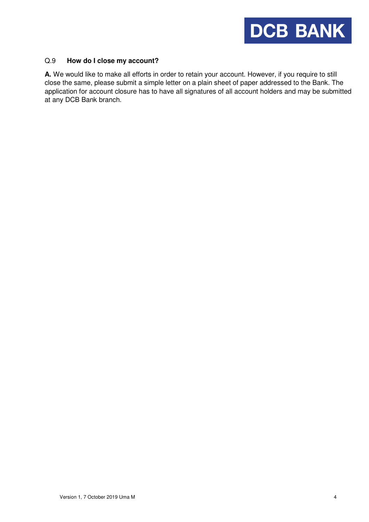

## Q.9 **How do I close my account?**

**A.** We would like to make all efforts in order to retain your account. However, if you require to still close the same, please submit a simple letter on a plain sheet of paper addressed to the Bank. The application for account closure has to have all signatures of all account holders and may be submitted at any DCB Bank branch.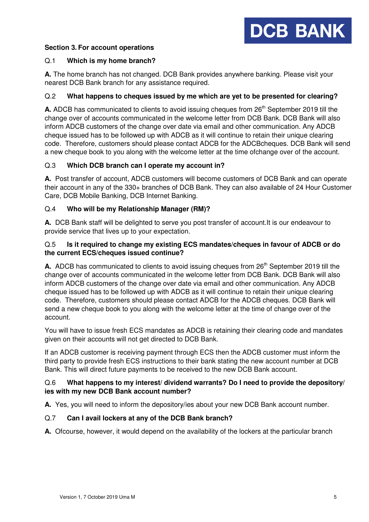# **Section 3. For account operations**



# Q.1 **Which is my home branch?**

**A.** The home branch has not changed. DCB Bank provides anywhere banking. Please visit your nearest DCB Bank branch for any assistance required.

# Q.2 **What happens to cheques issued by me which are yet to be presented for clearing?**

A. ADCB has communicated to clients to avoid issuing cheques from 26<sup>th</sup> September 2019 till the change over of accounts communicated in the welcome letter from DCB Bank. DCB Bank will also inform ADCB customers of the change over date via email and other communication. Any ADCB cheque issued has to be followed up with ADCB as it will continue to retain their unique clearing code. Therefore, customers should please contact ADCB for the ADCBcheques. DCB Bank will send a new cheque book to you along with the welcome letter at the time ofchange over of the account.

# Q.3 **Which DCB branch can I operate my account in?**

**A.** Post transfer of account, ADCB customers will become customers of DCB Bank and can operate their account in any of the 330+ branches of DCB Bank. They can also available of 24 Hour Customer Care, DCB Mobile Banking, DCB Internet Banking.

# Q.4 **Who will be my Relationship Manager (RM)?**

**A.** DCB Bank staff will be delighted to serve you post transfer of account.It is our endeavour to provide service that lives up to your expectation.

# Q.5 **Is it required to change my existing ECS mandates/cheques in favour of ADCB or do the current ECS/cheques issued continue?**

A. ADCB has communicated to clients to avoid issuing cheques from 26<sup>th</sup> September 2019 till the change over of accounts communicated in the welcome letter from DCB Bank. DCB Bank will also inform ADCB customers of the change over date via email and other communication. Any ADCB cheque issued has to be followed up with ADCB as it will continue to retain their unique clearing code. Therefore, customers should please contact ADCB for the ADCB cheques. DCB Bank will send a new cheque book to you along with the welcome letter at the time of change over of the account.

You will have to issue fresh ECS mandates as ADCB is retaining their clearing code and mandates given on their accounts will not get directed to DCB Bank.

If an ADCB customer is receiving payment through ECS then the ADCB customer must inform the third party to provide fresh ECS instructions to their bank stating the new account number at DCB Bank. This will direct future payments to be received to the new DCB Bank account.

## Q.6 **What happens to my interest/ dividend warrants? Do I need to provide the depository/ ies with my new DCB Bank account number?**

**A.** Yes, you will need to inform the depository/ies about your new DCB Bank account number.

## Q.7 **Can I avail lockers at any of the DCB Bank branch?**

**A.** Ofcourse, however, it would depend on the availability of the lockers at the particular branch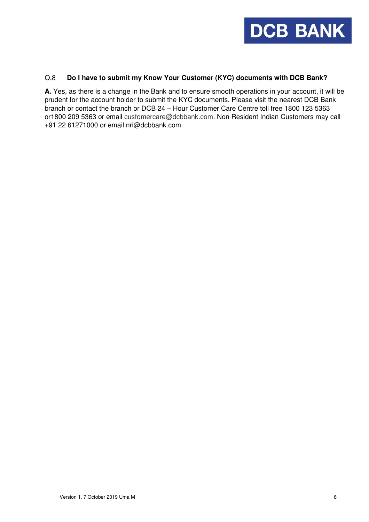

## Q.8 **Do I have to submit my Know Your Customer (KYC) documents with DCB Bank?**

**A.** Yes, as there is a change in the Bank and to ensure smooth operations in your account, it will be prudent for the account holder to submit the KYC documents. Please visit the nearest DCB Bank branch or contact the branch or DCB 24 – Hour Customer Care Centre toll free 1800 123 5363 or1800 209 5363 or email customercare@dcbbank.com. Non Resident Indian Customers may call +91 22 61271000 or email nri@dcbbank.com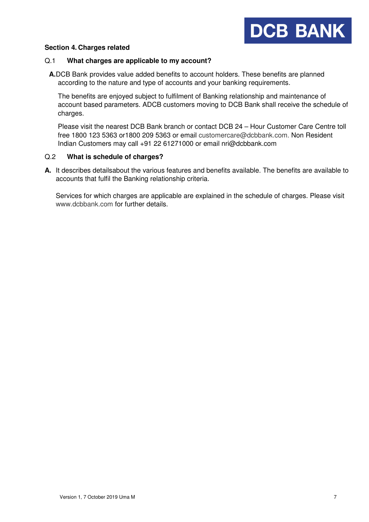

#### **Section 4. Charges related**

#### Q.1 **What charges are applicable to my account?**

**A.**DCB Bank provides value added benefits to account holders. These benefits are planned according to the nature and type of accounts and your banking requirements.

The benefits are enjoyed subject to fulfilment of Banking relationship and maintenance of account based parameters. ADCB customers moving to DCB Bank shall receive the schedule of charges.

Please visit the nearest DCB Bank branch or contact DCB 24 – Hour Customer Care Centre toll free 1800 123 5363 or1800 209 5363 or email customercare@dcbbank.com. Non Resident Indian Customers may call +91 22 61271000 or email nri@dcbbank.com

## Q.2 **What is schedule of charges?**

**A.** It describes detailsabout the various features and benefits available. The benefits are available to accounts that fulfil the Banking relationship criteria.

Services for which charges are applicable are explained in the schedule of charges. Please visit www.dcbbank.com for further details.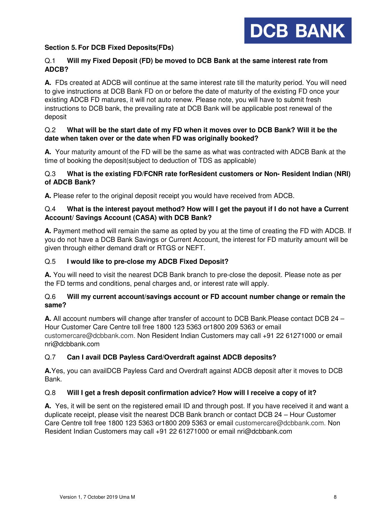

# **Section 5. For DCB Fixed Deposits(FDs)**

# Q.1 **Will my Fixed Deposit (FD) be moved to DCB Bank at the same interest rate from ADCB?**

**A.** FDs created at ADCB will continue at the same interest rate till the maturity period. You will need to give instructions at DCB Bank FD on or before the date of maturity of the existing FD once your existing ADCB FD matures, it will not auto renew. Please note, you will have to submit fresh instructions to DCB bank, the prevailing rate at DCB Bank will be applicable post renewal of the deposit

# Q.2 **What will be the start date of my FD when it moves over to DCB Bank? Will it be the date when taken over or the date when FD was originally booked?**

**A.** Your maturity amount of the FD will be the same as what was contracted with ADCB Bank at the time of booking the deposit(subject to deduction of TDS as applicable)

# Q.3 **What is the existing FD/FCNR rate forResident customers or Non- Resident Indian (NRI) of ADCB Bank?**

**A.** Please refer to the original deposit receipt you would have received from ADCB.

# Q.4 **What is the interest payout method? How will I get the payout if I do not have a Current Account/ Savings Account (CASA) with DCB Bank?**

**A.** Payment method will remain the same as opted by you at the time of creating the FD with ADCB. If you do not have a DCB Bank Savings or Current Account, the interest for FD maturity amount will be given through either demand draft or RTGS or NEFT.

# Q.5 **I would like to pre-close my ADCB Fixed Deposit?**

**A.** You will need to visit the nearest DCB Bank branch to pre-close the deposit. Please note as per the FD terms and conditions, penal charges and, or interest rate will apply.

# Q.6 **Will my current account/savings account or FD account number change or remain the same?**

**A.** All account numbers will change after transfer of account to DCB Bank.Please contact DCB 24 – Hour Customer Care Centre toll free 1800 123 5363 or1800 209 5363 or email customercare@dcbbank.com. Non Resident Indian Customers may call +91 22 61271000 or email nri@dcbbank.com

# Q.7 **Can I avail DCB Payless Card/Overdraft against ADCB deposits?**

**A.**Yes, you can availDCB Payless Card and Overdraft against ADCB deposit after it moves to DCB Bank.

## Q.8 **Will I get a fresh deposit confirmation advice? How will I receive a copy of it?**

**A.** Yes, it will be sent on the registered email ID and through post. If you have received it and want a duplicate receipt, please visit the nearest DCB Bank branch or contact DCB 24 – Hour Customer Care Centre toll free 1800 123 5363 or1800 209 5363 or email customercare@dcbbank.com. Non Resident Indian Customers may call +91 22 61271000 or email nri@dcbbank.com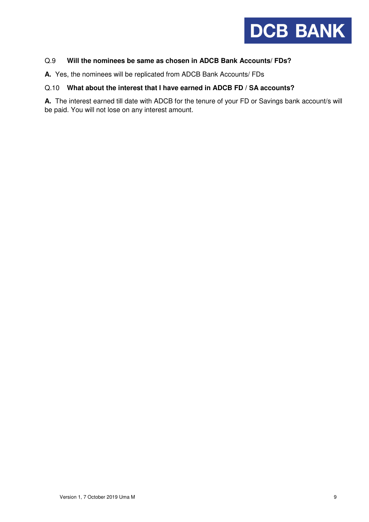

# Q.9 **Will the nominees be same as chosen in ADCB Bank Accounts/ FDs?**

**A.** Yes, the nominees will be replicated from ADCB Bank Accounts/ FDs

#### Q.10 **What about the interest that I have earned in ADCB FD / SA accounts?**

**A.** The interest earned till date with ADCB for the tenure of your FD or Savings bank account/s will be paid. You will not lose on any interest amount.